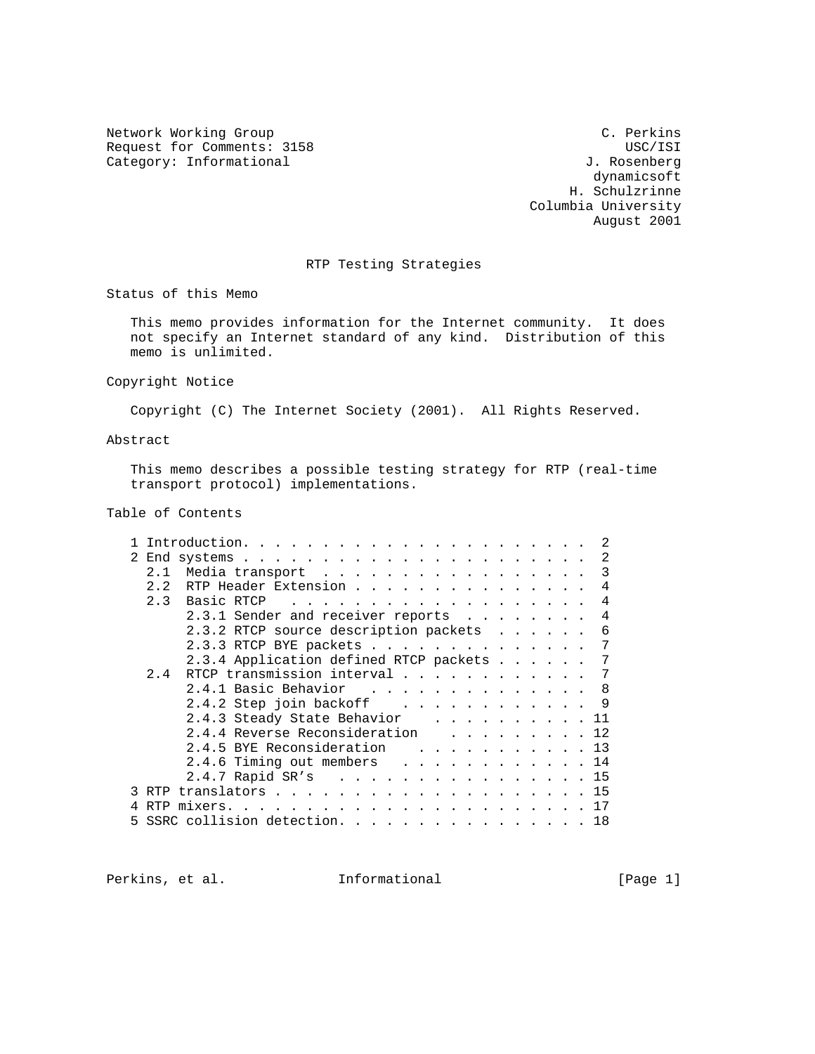Network Working Group C. Perkins Request for Comments: 3158 USC/ISI USC/ISI<br>Category: Informational USC/ISI USC/ISI USC/ISI Category: Informational

 dynamicsoft H. Schulzrinne Columbia University August 2001

# RTP Testing Strategies

Status of this Memo

 This memo provides information for the Internet community. It does not specify an Internet standard of any kind. Distribution of this memo is unlimited.

Copyright Notice

Copyright (C) The Internet Society (2001). All Rights Reserved.

Abstract

 This memo describes a possible testing strategy for RTP (real-time transport protocol) implementations.

Table of Contents

|                                                                                                                                                                                                                                                     | 2  |
|-----------------------------------------------------------------------------------------------------------------------------------------------------------------------------------------------------------------------------------------------------|----|
| Media transport<br>2.1                                                                                                                                                                                                                              | 3  |
| 2.2<br>RTP Header Extension                                                                                                                                                                                                                         | 4  |
| 2.3<br>Basic RTCP<br>and the contract of the contract of the contract of the contract of the contract of the contract of the contract of the contract of the contract of the contract of the contract of the contract of the contract of the contra | 4  |
| 2.3.1 Sender and receiver reports                                                                                                                                                                                                                   | 4  |
| 2.3.2 RTCP source description packets                                                                                                                                                                                                               | 6  |
| 2.3.3 RTCP BYE packets                                                                                                                                                                                                                              | 7  |
| 2.3.4 Application defined RTCP packets                                                                                                                                                                                                              | 7  |
| RTCP transmission interval<br>2.4                                                                                                                                                                                                                   |    |
| 2.4.1 Basic Behavior 8                                                                                                                                                                                                                              |    |
| 2.4.2 Step join backoff 9                                                                                                                                                                                                                           |    |
| 2.4.3 Steady State Behavior 11                                                                                                                                                                                                                      |    |
| 2.4.4 Reverse Reconsideration 12                                                                                                                                                                                                                    |    |
| 2.4.5 BYE Reconsideration 13                                                                                                                                                                                                                        |    |
| 2.4.6 Timing out members 14                                                                                                                                                                                                                         |    |
| 2.4.7 Rapid SR's 15                                                                                                                                                                                                                                 |    |
| RTP translators 15<br>3                                                                                                                                                                                                                             |    |
|                                                                                                                                                                                                                                                     |    |
| SSRC collision detection.<br>5                                                                                                                                                                                                                      | 18 |

Perkins, et al. 10. Informational [Page 1]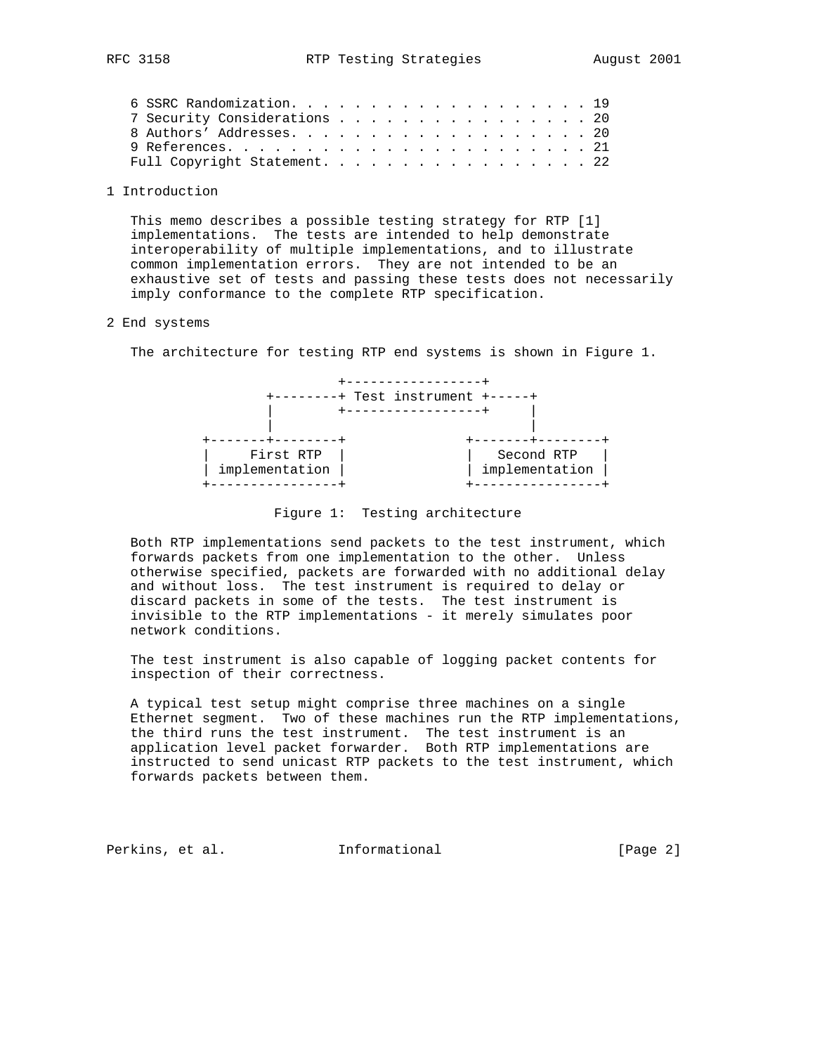## 1 Introduction

 This memo describes a possible testing strategy for RTP [1] implementations. The tests are intended to help demonstrate interoperability of multiple implementations, and to illustrate common implementation errors. They are not intended to be an exhaustive set of tests and passing these tests does not necessarily imply conformance to the complete RTP specification.

### 2 End systems

The architecture for testing RTP end systems is shown in Figure 1.



Figure 1: Testing architecture

 Both RTP implementations send packets to the test instrument, which forwards packets from one implementation to the other. Unless otherwise specified, packets are forwarded with no additional delay and without loss. The test instrument is required to delay or discard packets in some of the tests. The test instrument is invisible to the RTP implementations - it merely simulates poor network conditions.

 The test instrument is also capable of logging packet contents for inspection of their correctness.

 A typical test setup might comprise three machines on a single Ethernet segment. Two of these machines run the RTP implementations, the third runs the test instrument. The test instrument is an application level packet forwarder. Both RTP implementations are instructed to send unicast RTP packets to the test instrument, which forwards packets between them.

Perkins, et al. **Informational** [Page 2]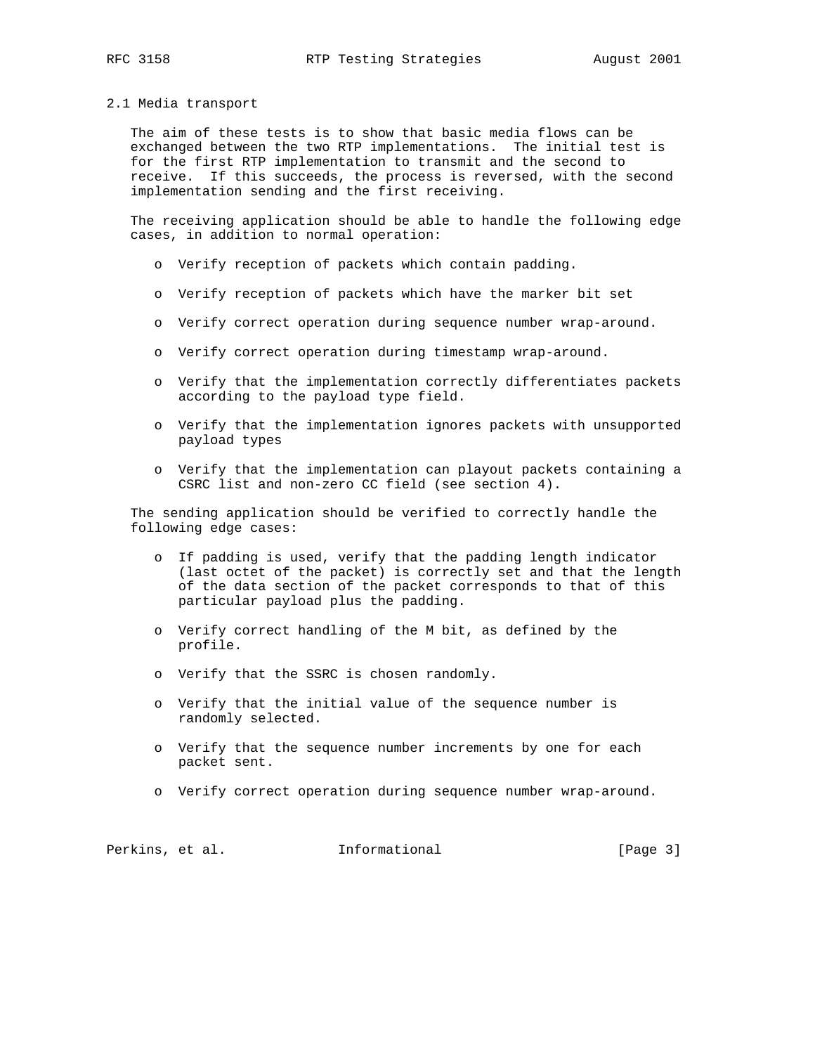#### 2.1 Media transport

 The aim of these tests is to show that basic media flows can be exchanged between the two RTP implementations. The initial test is for the first RTP implementation to transmit and the second to receive. If this succeeds, the process is reversed, with the second implementation sending and the first receiving.

 The receiving application should be able to handle the following edge cases, in addition to normal operation:

- o Verify reception of packets which contain padding.
- o Verify reception of packets which have the marker bit set
- o Verify correct operation during sequence number wrap-around.
- o Verify correct operation during timestamp wrap-around.
- o Verify that the implementation correctly differentiates packets according to the payload type field.
- o Verify that the implementation ignores packets with unsupported payload types
- o Verify that the implementation can playout packets containing a CSRC list and non-zero CC field (see section 4).

 The sending application should be verified to correctly handle the following edge cases:

- o If padding is used, verify that the padding length indicator (last octet of the packet) is correctly set and that the length of the data section of the packet corresponds to that of this particular payload plus the padding.
- o Verify correct handling of the M bit, as defined by the profile.
- o Verify that the SSRC is chosen randomly.
- o Verify that the initial value of the sequence number is randomly selected.
- o Verify that the sequence number increments by one for each packet sent.
- o Verify correct operation during sequence number wrap-around.

Perkins, et al. **Informational** [Page 3]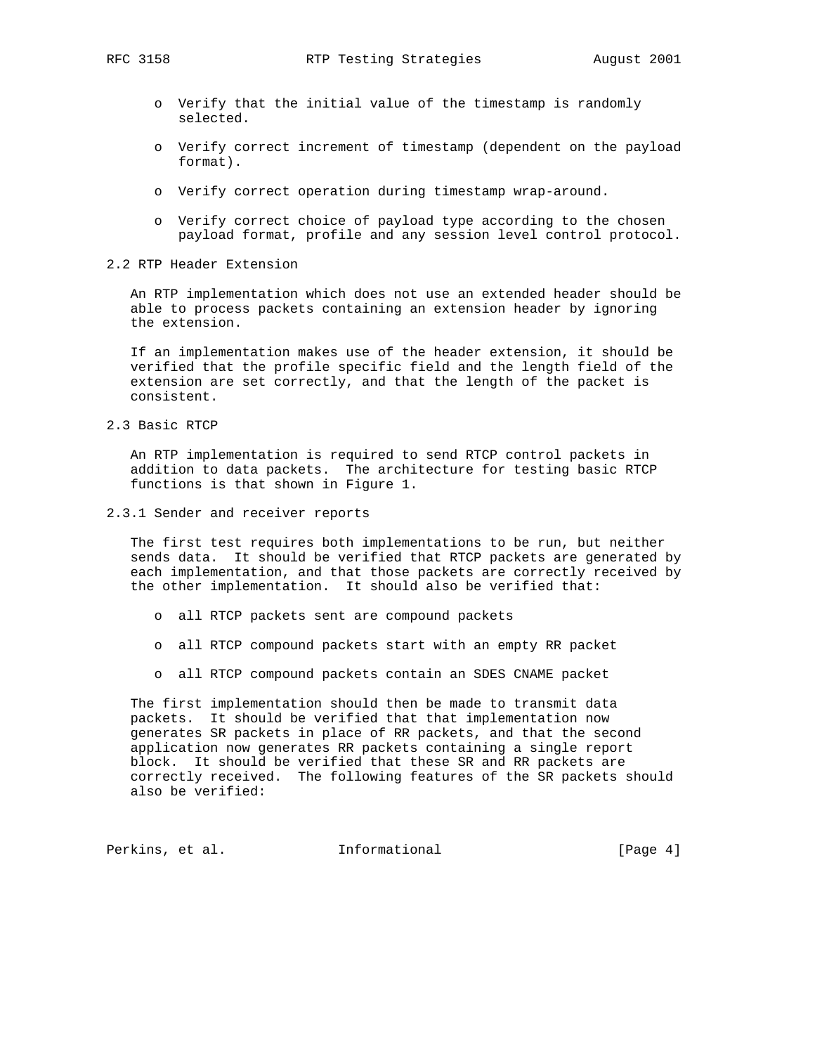- o Verify that the initial value of the timestamp is randomly selected.
- o Verify correct increment of timestamp (dependent on the payload format).
- o Verify correct operation during timestamp wrap-around.
- o Verify correct choice of payload type according to the chosen payload format, profile and any session level control protocol.
- 2.2 RTP Header Extension

 An RTP implementation which does not use an extended header should be able to process packets containing an extension header by ignoring the extension.

 If an implementation makes use of the header extension, it should be verified that the profile specific field and the length field of the extension are set correctly, and that the length of the packet is consistent.

2.3 Basic RTCP

 An RTP implementation is required to send RTCP control packets in addition to data packets. The architecture for testing basic RTCP functions is that shown in Figure 1.

2.3.1 Sender and receiver reports

 The first test requires both implementations to be run, but neither sends data. It should be verified that RTCP packets are generated by each implementation, and that those packets are correctly received by the other implementation. It should also be verified that:

- o all RTCP packets sent are compound packets
- o all RTCP compound packets start with an empty RR packet
- o all RTCP compound packets contain an SDES CNAME packet

 The first implementation should then be made to transmit data packets. It should be verified that that implementation now generates SR packets in place of RR packets, and that the second application now generates RR packets containing a single report block. It should be verified that these SR and RR packets are correctly received. The following features of the SR packets should also be verified:

Perkins, et al. **Informational** [Page 4]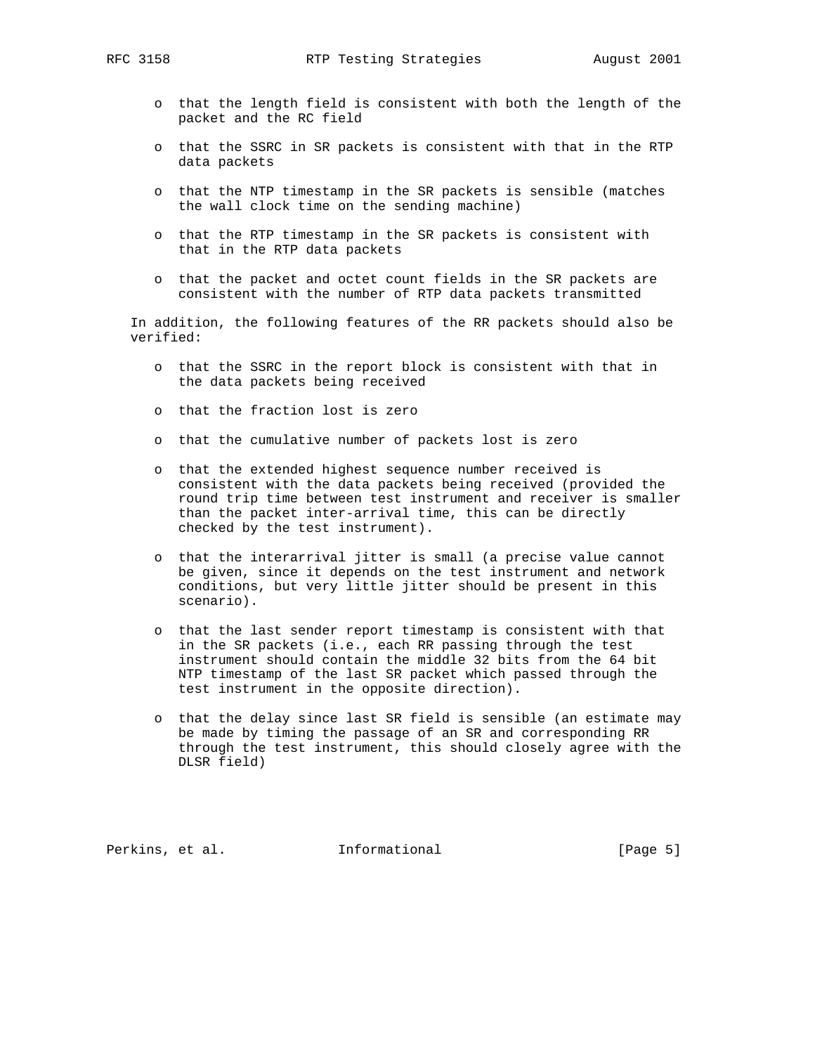- o that the length field is consistent with both the length of the packet and the RC field
- o that the SSRC in SR packets is consistent with that in the RTP data packets
- o that the NTP timestamp in the SR packets is sensible (matches the wall clock time on the sending machine)
- o that the RTP timestamp in the SR packets is consistent with that in the RTP data packets
- o that the packet and octet count fields in the SR packets are consistent with the number of RTP data packets transmitted

 In addition, the following features of the RR packets should also be verified:

- o that the SSRC in the report block is consistent with that in the data packets being received
- o that the fraction lost is zero
- o that the cumulative number of packets lost is zero
- o that the extended highest sequence number received is consistent with the data packets being received (provided the round trip time between test instrument and receiver is smaller than the packet inter-arrival time, this can be directly checked by the test instrument).
- o that the interarrival jitter is small (a precise value cannot be given, since it depends on the test instrument and network conditions, but very little jitter should be present in this scenario).
- o that the last sender report timestamp is consistent with that in the SR packets (i.e., each RR passing through the test instrument should contain the middle 32 bits from the 64 bit NTP timestamp of the last SR packet which passed through the test instrument in the opposite direction).
- o that the delay since last SR field is sensible (an estimate may be made by timing the passage of an SR and corresponding RR through the test instrument, this should closely agree with the DLSR field)

Perkins, et al. **Informational** [Page 5]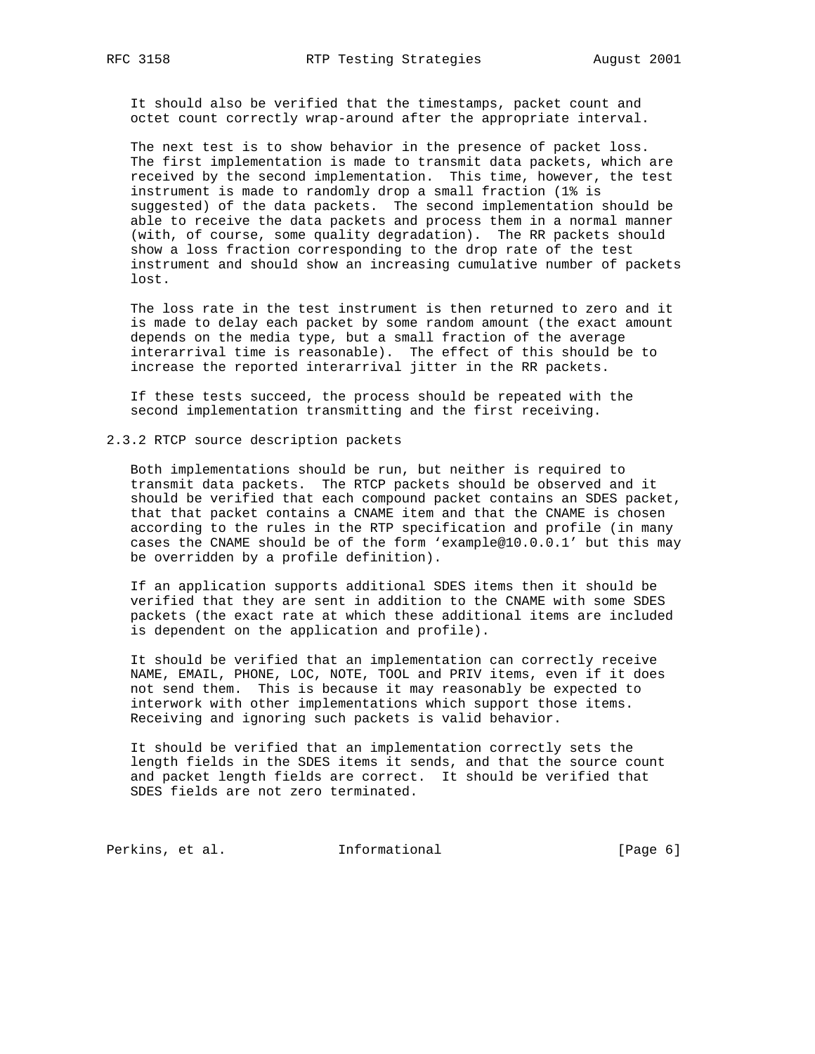It should also be verified that the timestamps, packet count and octet count correctly wrap-around after the appropriate interval.

The next test is to show behavior in the presence of packet loss. The first implementation is made to transmit data packets, which are received by the second implementation. This time, however, the test instrument is made to randomly drop a small fraction (1% is suggested) of the data packets. The second implementation should be able to receive the data packets and process them in a normal manner (with, of course, some quality degradation). The RR packets should show a loss fraction corresponding to the drop rate of the test instrument and should show an increasing cumulative number of packets lost.

 The loss rate in the test instrument is then returned to zero and it is made to delay each packet by some random amount (the exact amount depends on the media type, but a small fraction of the average interarrival time is reasonable). The effect of this should be to increase the reported interarrival jitter in the RR packets.

 If these tests succeed, the process should be repeated with the second implementation transmitting and the first receiving.

2.3.2 RTCP source description packets

 Both implementations should be run, but neither is required to transmit data packets. The RTCP packets should be observed and it should be verified that each compound packet contains an SDES packet, that that packet contains a CNAME item and that the CNAME is chosen according to the rules in the RTP specification and profile (in many cases the CNAME should be of the form 'example@10.0.0.1' but this may be overridden by a profile definition).

 If an application supports additional SDES items then it should be verified that they are sent in addition to the CNAME with some SDES packets (the exact rate at which these additional items are included is dependent on the application and profile).

 It should be verified that an implementation can correctly receive NAME, EMAIL, PHONE, LOC, NOTE, TOOL and PRIV items, even if it does not send them. This is because it may reasonably be expected to interwork with other implementations which support those items. Receiving and ignoring such packets is valid behavior.

 It should be verified that an implementation correctly sets the length fields in the SDES items it sends, and that the source count and packet length fields are correct. It should be verified that SDES fields are not zero terminated.

Perkins, et al. 1nformational 1999 [Page 6]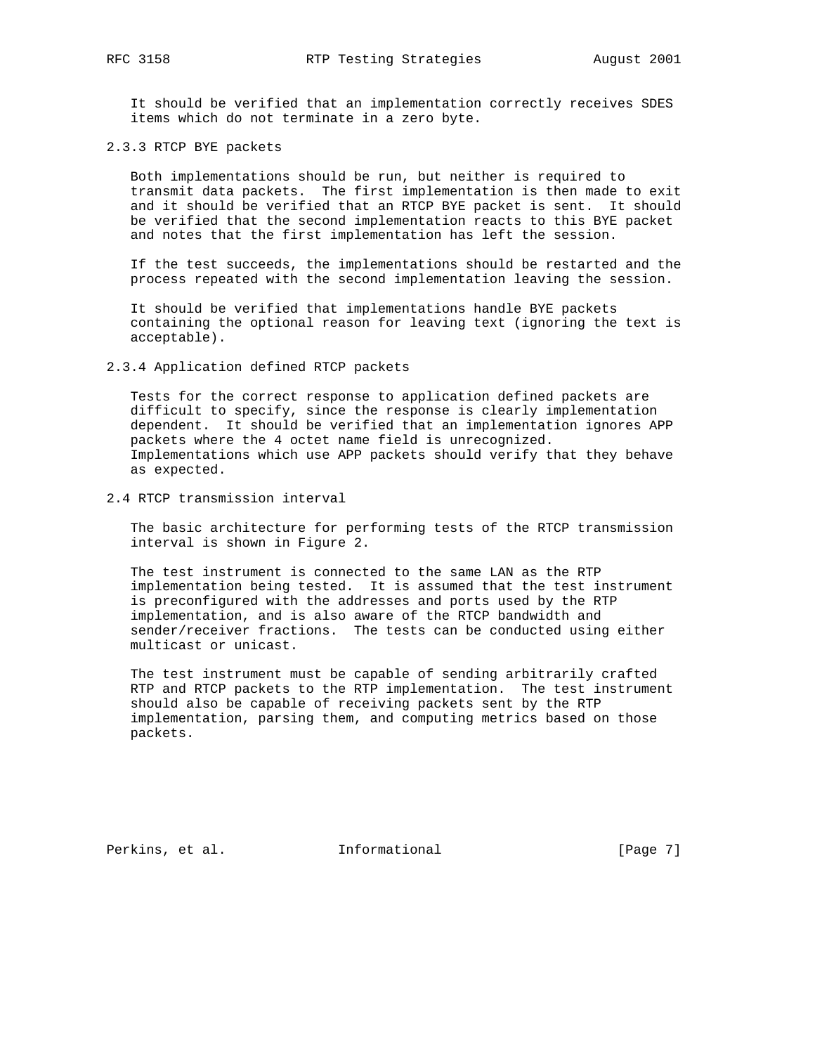It should be verified that an implementation correctly receives SDES items which do not terminate in a zero byte.

2.3.3 RTCP BYE packets

 Both implementations should be run, but neither is required to transmit data packets. The first implementation is then made to exit and it should be verified that an RTCP BYE packet is sent. It should be verified that the second implementation reacts to this BYE packet and notes that the first implementation has left the session.

 If the test succeeds, the implementations should be restarted and the process repeated with the second implementation leaving the session.

 It should be verified that implementations handle BYE packets containing the optional reason for leaving text (ignoring the text is acceptable).

2.3.4 Application defined RTCP packets

 Tests for the correct response to application defined packets are difficult to specify, since the response is clearly implementation dependent. It should be verified that an implementation ignores APP packets where the 4 octet name field is unrecognized. Implementations which use APP packets should verify that they behave as expected.

2.4 RTCP transmission interval

 The basic architecture for performing tests of the RTCP transmission interval is shown in Figure 2.

 The test instrument is connected to the same LAN as the RTP implementation being tested. It is assumed that the test instrument is preconfigured with the addresses and ports used by the RTP implementation, and is also aware of the RTCP bandwidth and sender/receiver fractions. The tests can be conducted using either multicast or unicast.

 The test instrument must be capable of sending arbitrarily crafted RTP and RTCP packets to the RTP implementation. The test instrument should also be capable of receiving packets sent by the RTP implementation, parsing them, and computing metrics based on those packets.

Perkins, et al. **Informational** [Page 7]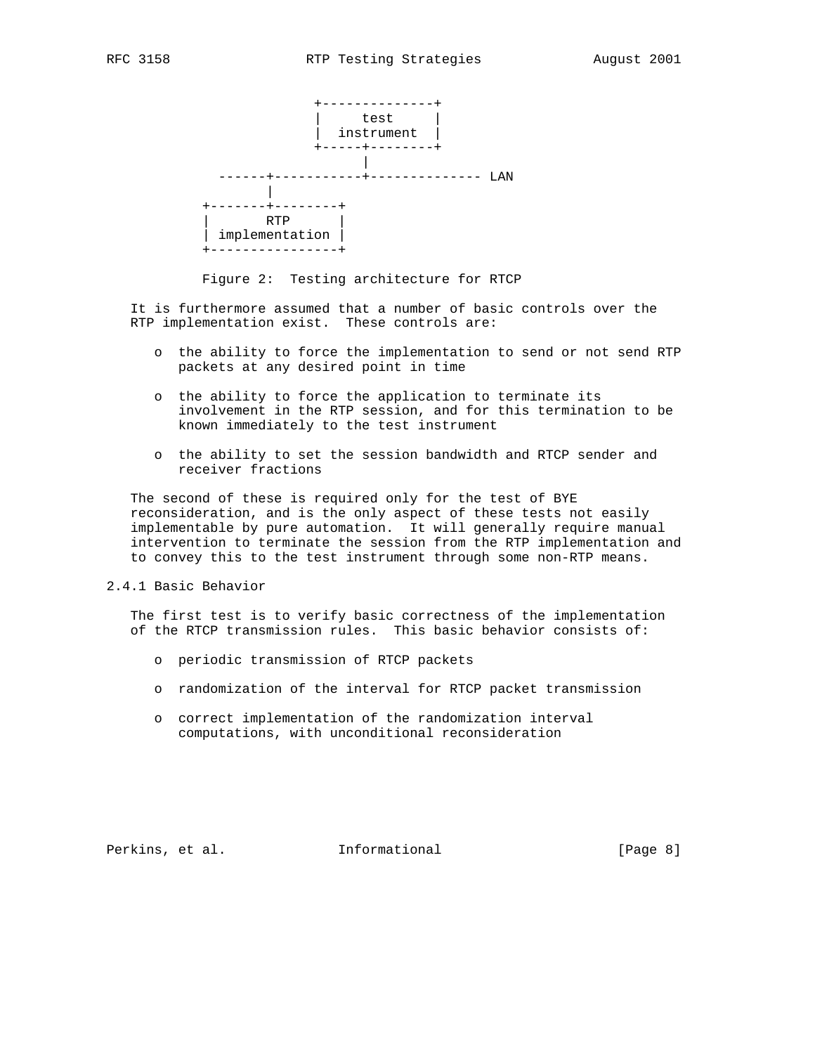

Figure 2: Testing architecture for RTCP

 It is furthermore assumed that a number of basic controls over the RTP implementation exist. These controls are:

- o the ability to force the implementation to send or not send RTP packets at any desired point in time
- o the ability to force the application to terminate its involvement in the RTP session, and for this termination to be known immediately to the test instrument
- o the ability to set the session bandwidth and RTCP sender and receiver fractions

 The second of these is required only for the test of BYE reconsideration, and is the only aspect of these tests not easily implementable by pure automation. It will generally require manual intervention to terminate the session from the RTP implementation and to convey this to the test instrument through some non-RTP means.

2.4.1 Basic Behavior

 The first test is to verify basic correctness of the implementation of the RTCP transmission rules. This basic behavior consists of:

- o periodic transmission of RTCP packets
- o randomization of the interval for RTCP packet transmission
- o correct implementation of the randomization interval computations, with unconditional reconsideration

Perkins, et al. **Informational** [Page 8]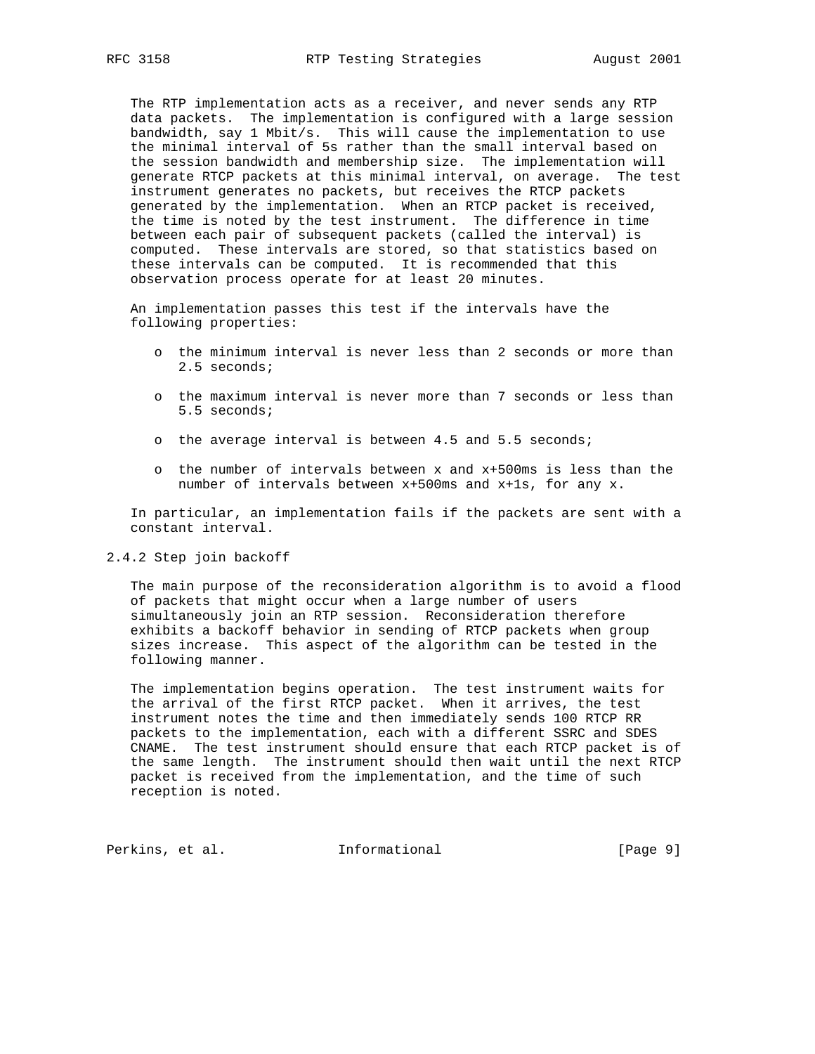The RTP implementation acts as a receiver, and never sends any RTP data packets. The implementation is configured with a large session bandwidth, say 1 Mbit/s. This will cause the implementation to use the minimal interval of 5s rather than the small interval based on the session bandwidth and membership size. The implementation will generate RTCP packets at this minimal interval, on average. The test instrument generates no packets, but receives the RTCP packets generated by the implementation. When an RTCP packet is received, the time is noted by the test instrument. The difference in time between each pair of subsequent packets (called the interval) is computed. These intervals are stored, so that statistics based on these intervals can be computed. It is recommended that this observation process operate for at least 20 minutes.

 An implementation passes this test if the intervals have the following properties:

- o the minimum interval is never less than 2 seconds or more than 2.5 seconds;
- o the maximum interval is never more than 7 seconds or less than 5.5 seconds;
- o the average interval is between 4.5 and 5.5 seconds;
- o the number of intervals between x and x+500ms is less than the number of intervals between x+500ms and x+1s, for any x.

 In particular, an implementation fails if the packets are sent with a constant interval.

2.4.2 Step join backoff

 The main purpose of the reconsideration algorithm is to avoid a flood of packets that might occur when a large number of users simultaneously join an RTP session. Reconsideration therefore exhibits a backoff behavior in sending of RTCP packets when group sizes increase. This aspect of the algorithm can be tested in the following manner.

 The implementation begins operation. The test instrument waits for the arrival of the first RTCP packet. When it arrives, the test instrument notes the time and then immediately sends 100 RTCP RR packets to the implementation, each with a different SSRC and SDES CNAME. The test instrument should ensure that each RTCP packet is of the same length. The instrument should then wait until the next RTCP packet is received from the implementation, and the time of such reception is noted.

Perkins, et al. 1nformational [Page 9]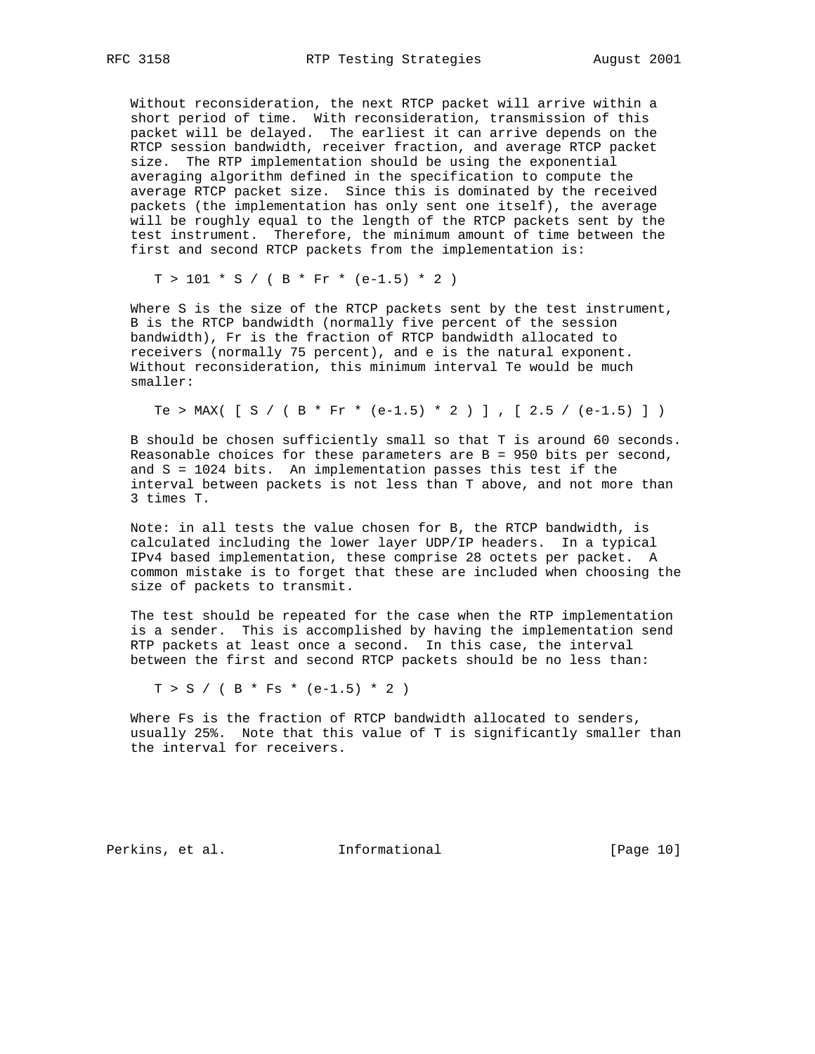Without reconsideration, the next RTCP packet will arrive within a short period of time. With reconsideration, transmission of this packet will be delayed. The earliest it can arrive depends on the RTCP session bandwidth, receiver fraction, and average RTCP packet size. The RTP implementation should be using the exponential averaging algorithm defined in the specification to compute the average RTCP packet size. Since this is dominated by the received packets (the implementation has only sent one itself), the average will be roughly equal to the length of the RTCP packets sent by the test instrument. Therefore, the minimum amount of time between the first and second RTCP packets from the implementation is:

 $T > 101 * S / (B * Fr * (e-1.5) * 2)$ 

 Where S is the size of the RTCP packets sent by the test instrument, B is the RTCP bandwidth (normally five percent of the session bandwidth), Fr is the fraction of RTCP bandwidth allocated to receivers (normally 75 percent), and e is the natural exponent. Without reconsideration, this minimum interval Te would be much smaller:

Te > MAX(  $[ S / ( B * Fr * (e-1.5) * 2 ) ]$ ,  $[ 2.5 / (e-1.5) ] )$ 

 B should be chosen sufficiently small so that T is around 60 seconds. Reasonable choices for these parameters are B = 950 bits per second, and S = 1024 bits. An implementation passes this test if the interval between packets is not less than T above, and not more than 3 times T.

 Note: in all tests the value chosen for B, the RTCP bandwidth, is calculated including the lower layer UDP/IP headers. In a typical IPv4 based implementation, these comprise 28 octets per packet. A common mistake is to forget that these are included when choosing the size of packets to transmit.

 The test should be repeated for the case when the RTP implementation is a sender. This is accomplished by having the implementation send RTP packets at least once a second. In this case, the interval between the first and second RTCP packets should be no less than:

 $T > S / (B * Fs * (e-1.5) * 2)$ 

 Where Fs is the fraction of RTCP bandwidth allocated to senders, usually 25%. Note that this value of T is significantly smaller than the interval for receivers.

Perkins, et al. 1nformational [Page 10]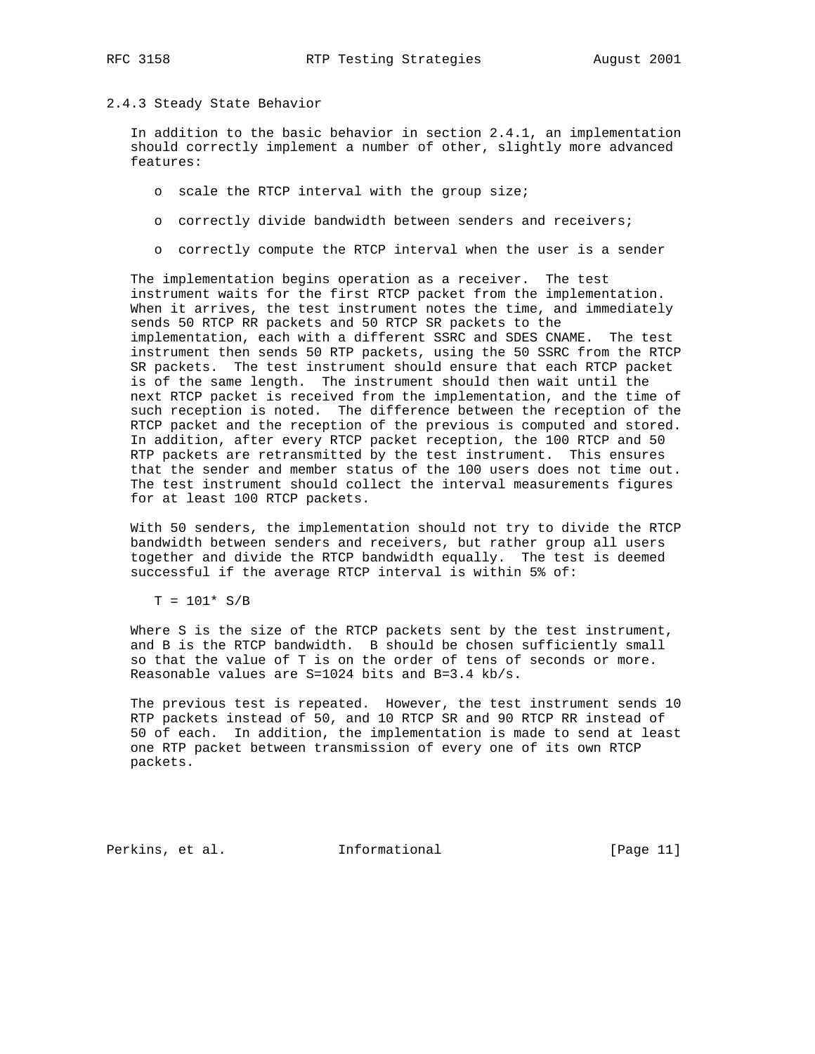#### 2.4.3 Steady State Behavior

 In addition to the basic behavior in section 2.4.1, an implementation should correctly implement a number of other, slightly more advanced features:

- o scale the RTCP interval with the group size;
- o correctly divide bandwidth between senders and receivers;
- o correctly compute the RTCP interval when the user is a sender

 The implementation begins operation as a receiver. The test instrument waits for the first RTCP packet from the implementation. When it arrives, the test instrument notes the time, and immediately sends 50 RTCP RR packets and 50 RTCP SR packets to the implementation, each with a different SSRC and SDES CNAME. The test instrument then sends 50 RTP packets, using the 50 SSRC from the RTCP SR packets. The test instrument should ensure that each RTCP packet is of the same length. The instrument should then wait until the next RTCP packet is received from the implementation, and the time of such reception is noted. The difference between the reception of the RTCP packet and the reception of the previous is computed and stored. In addition, after every RTCP packet reception, the 100 RTCP and 50 RTP packets are retransmitted by the test instrument. This ensures that the sender and member status of the 100 users does not time out. The test instrument should collect the interval measurements figures for at least 100 RTCP packets.

 With 50 senders, the implementation should not try to divide the RTCP bandwidth between senders and receivers, but rather group all users together and divide the RTCP bandwidth equally. The test is deemed successful if the average RTCP interval is within 5% of:

 $T = 101* S/B$ 

 Where S is the size of the RTCP packets sent by the test instrument, and B is the RTCP bandwidth. B should be chosen sufficiently small so that the value of T is on the order of tens of seconds or more. Reasonable values are S=1024 bits and B=3.4 kb/s.

 The previous test is repeated. However, the test instrument sends 10 RTP packets instead of 50, and 10 RTCP SR and 90 RTCP RR instead of 50 of each. In addition, the implementation is made to send at least one RTP packet between transmission of every one of its own RTCP packets.

Perkins, et al. 1nformational [Page 11]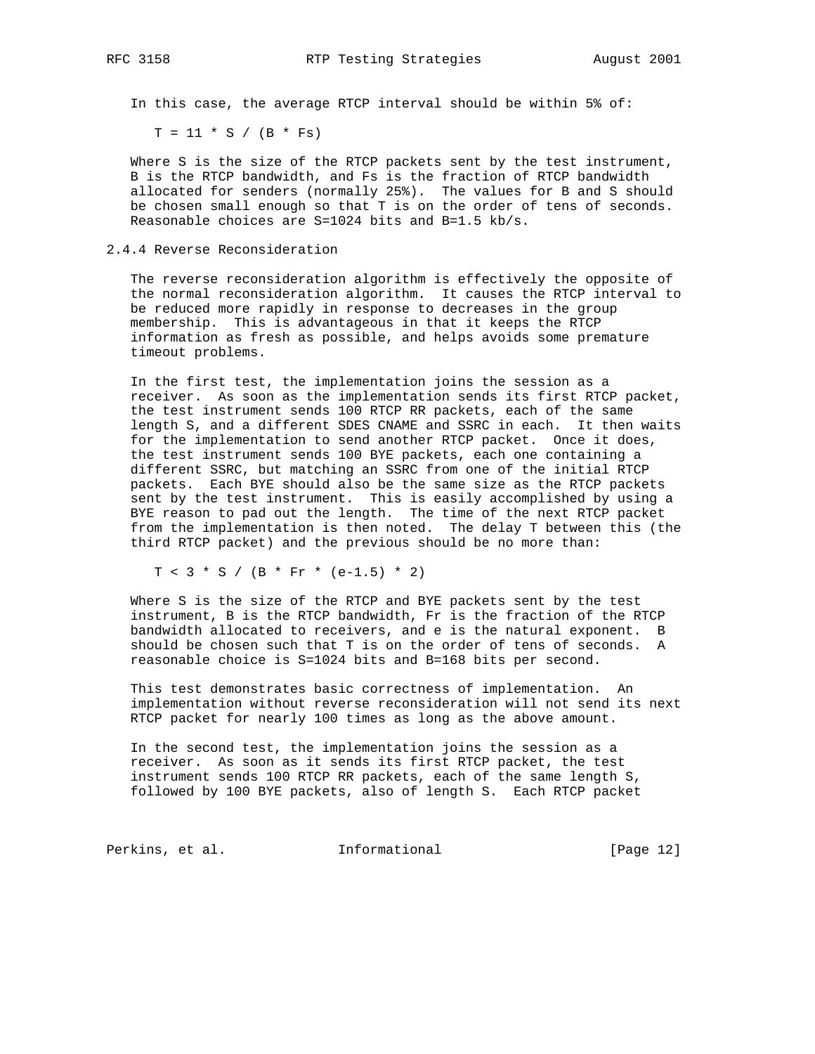In this case, the average RTCP interval should be within 5% of:

 $T = 11 * S / (B * Fs)$ 

 Where S is the size of the RTCP packets sent by the test instrument, B is the RTCP bandwidth, and Fs is the fraction of RTCP bandwidth allocated for senders (normally 25%). The values for B and S should be chosen small enough so that T is on the order of tens of seconds. Reasonable choices are S=1024 bits and B=1.5 kb/s.

2.4.4 Reverse Reconsideration

 The reverse reconsideration algorithm is effectively the opposite of the normal reconsideration algorithm. It causes the RTCP interval to be reduced more rapidly in response to decreases in the group membership. This is advantageous in that it keeps the RTCP information as fresh as possible, and helps avoids some premature timeout problems.

 In the first test, the implementation joins the session as a receiver. As soon as the implementation sends its first RTCP packet, the test instrument sends 100 RTCP RR packets, each of the same length S, and a different SDES CNAME and SSRC in each. It then waits for the implementation to send another RTCP packet. Once it does, the test instrument sends 100 BYE packets, each one containing a different SSRC, but matching an SSRC from one of the initial RTCP packets. Each BYE should also be the same size as the RTCP packets sent by the test instrument. This is easily accomplished by using a BYE reason to pad out the length. The time of the next RTCP packet from the implementation is then noted. The delay T between this (the third RTCP packet) and the previous should be no more than:

 $T < 3 * S / (B * Fr * (e-1.5) * 2)$ 

 Where S is the size of the RTCP and BYE packets sent by the test instrument, B is the RTCP bandwidth, Fr is the fraction of the RTCP bandwidth allocated to receivers, and e is the natural exponent. B should be chosen such that T is on the order of tens of seconds. A reasonable choice is S=1024 bits and B=168 bits per second.

 This test demonstrates basic correctness of implementation. An implementation without reverse reconsideration will not send its next RTCP packet for nearly 100 times as long as the above amount.

 In the second test, the implementation joins the session as a receiver. As soon as it sends its first RTCP packet, the test instrument sends 100 RTCP RR packets, each of the same length S, followed by 100 BYE packets, also of length S. Each RTCP packet

Perkins, et al. 1nformational [Page 12]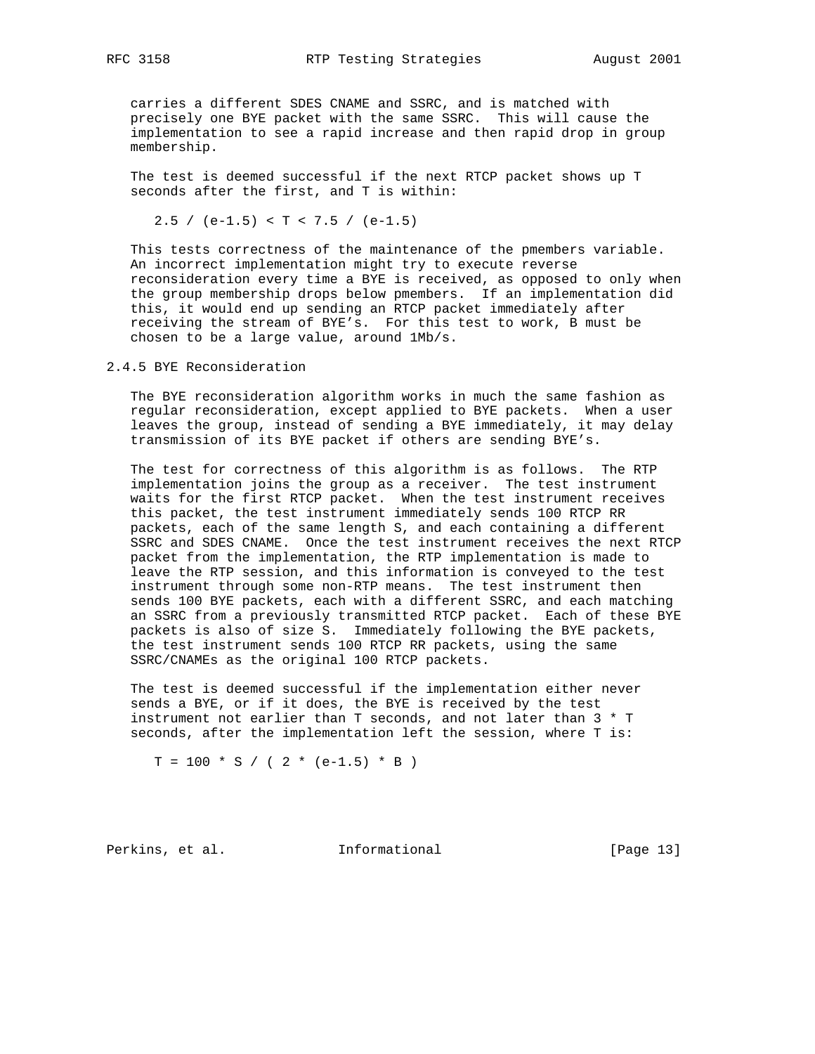carries a different SDES CNAME and SSRC, and is matched with precisely one BYE packet with the same SSRC. This will cause the implementation to see a rapid increase and then rapid drop in group membership.

 The test is deemed successful if the next RTCP packet shows up T seconds after the first, and T is within:

2.5 / (e-1.5) < T < 7.5 / (e-1.5)

 This tests correctness of the maintenance of the pmembers variable. An incorrect implementation might try to execute reverse reconsideration every time a BYE is received, as opposed to only when the group membership drops below pmembers. If an implementation did this, it would end up sending an RTCP packet immediately after receiving the stream of BYE's. For this test to work, B must be chosen to be a large value, around 1Mb/s.

2.4.5 BYE Reconsideration

 The BYE reconsideration algorithm works in much the same fashion as regular reconsideration, except applied to BYE packets. When a user leaves the group, instead of sending a BYE immediately, it may delay transmission of its BYE packet if others are sending BYE's.

 The test for correctness of this algorithm is as follows. The RTP implementation joins the group as a receiver. The test instrument waits for the first RTCP packet. When the test instrument receives this packet, the test instrument immediately sends 100 RTCP RR packets, each of the same length S, and each containing a different SSRC and SDES CNAME. Once the test instrument receives the next RTCP packet from the implementation, the RTP implementation is made to leave the RTP session, and this information is conveyed to the test instrument through some non-RTP means. The test instrument then sends 100 BYE packets, each with a different SSRC, and each matching an SSRC from a previously transmitted RTCP packet. Each of these BYE packets is also of size S. Immediately following the BYE packets, the test instrument sends 100 RTCP RR packets, using the same SSRC/CNAMEs as the original 100 RTCP packets.

 The test is deemed successful if the implementation either never sends a BYE, or if it does, the BYE is received by the test instrument not earlier than T seconds, and not later than 3 \* T seconds, after the implementation left the session, where T is:

 $T = 100 * S / (2 * (e-1.5) * B)$ 

Perkins, et al. 1nformational [Page 13]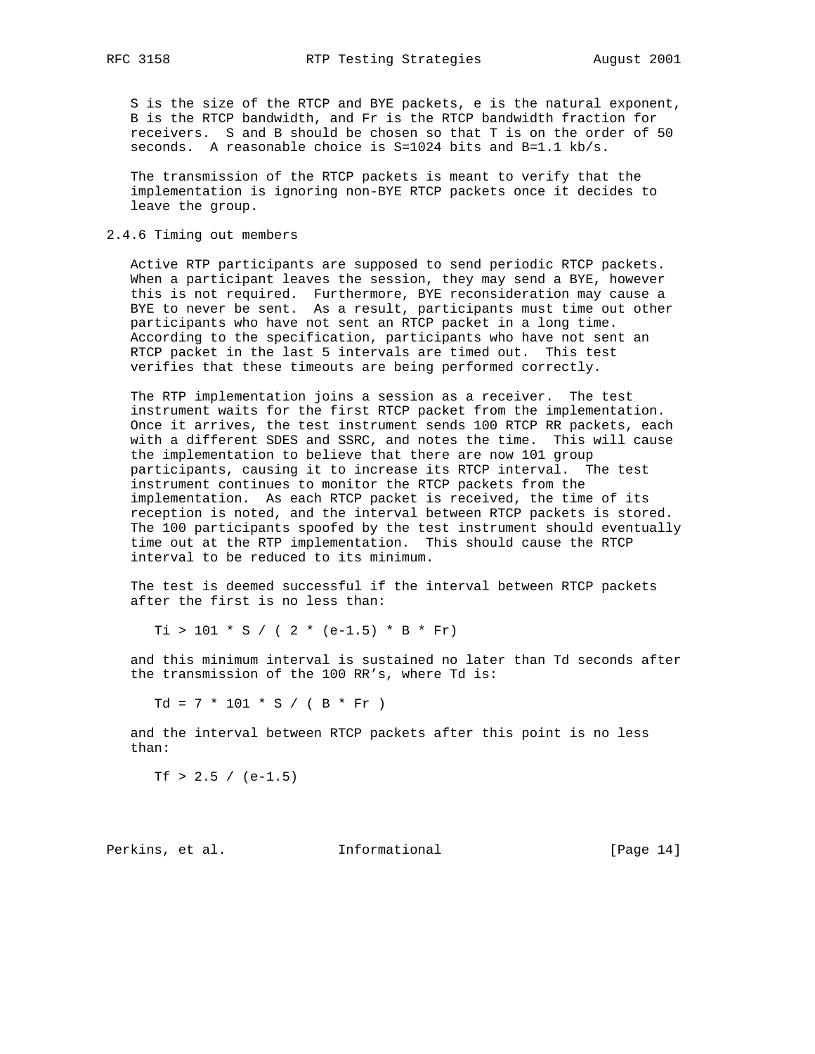S is the size of the RTCP and BYE packets, e is the natural exponent, B is the RTCP bandwidth, and Fr is the RTCP bandwidth fraction for receivers. S and B should be chosen so that T is on the order of 50 seconds. A reasonable choice is S=1024 bits and B=1.1 kb/s.

 The transmission of the RTCP packets is meant to verify that the implementation is ignoring non-BYE RTCP packets once it decides to leave the group.

### 2.4.6 Timing out members

 Active RTP participants are supposed to send periodic RTCP packets. When a participant leaves the session, they may send a BYE, however this is not required. Furthermore, BYE reconsideration may cause a BYE to never be sent. As a result, participants must time out other participants who have not sent an RTCP packet in a long time. According to the specification, participants who have not sent an RTCP packet in the last 5 intervals are timed out. This test verifies that these timeouts are being performed correctly.

 The RTP implementation joins a session as a receiver. The test instrument waits for the first RTCP packet from the implementation. Once it arrives, the test instrument sends 100 RTCP RR packets, each with a different SDES and SSRC, and notes the time. This will cause the implementation to believe that there are now 101 group participants, causing it to increase its RTCP interval. The test instrument continues to monitor the RTCP packets from the implementation. As each RTCP packet is received, the time of its reception is noted, and the interval between RTCP packets is stored. The 100 participants spoofed by the test instrument should eventually time out at the RTP implementation. This should cause the RTCP interval to be reduced to its minimum.

 The test is deemed successful if the interval between RTCP packets after the first is no less than:

 $Ti > 101 * S / (2 * (e-1.5) * B * Fr)$ 

 and this minimum interval is sustained no later than Td seconds after the transmission of the 100 RR's, where Td is:

 $Td = 7 * 101 * S / (B * Fr)$ 

 and the interval between RTCP packets after this point is no less than:

Tf > 2.5 /  $(e-1.5)$ 

Perkins, et al. **Informational** [Page 14]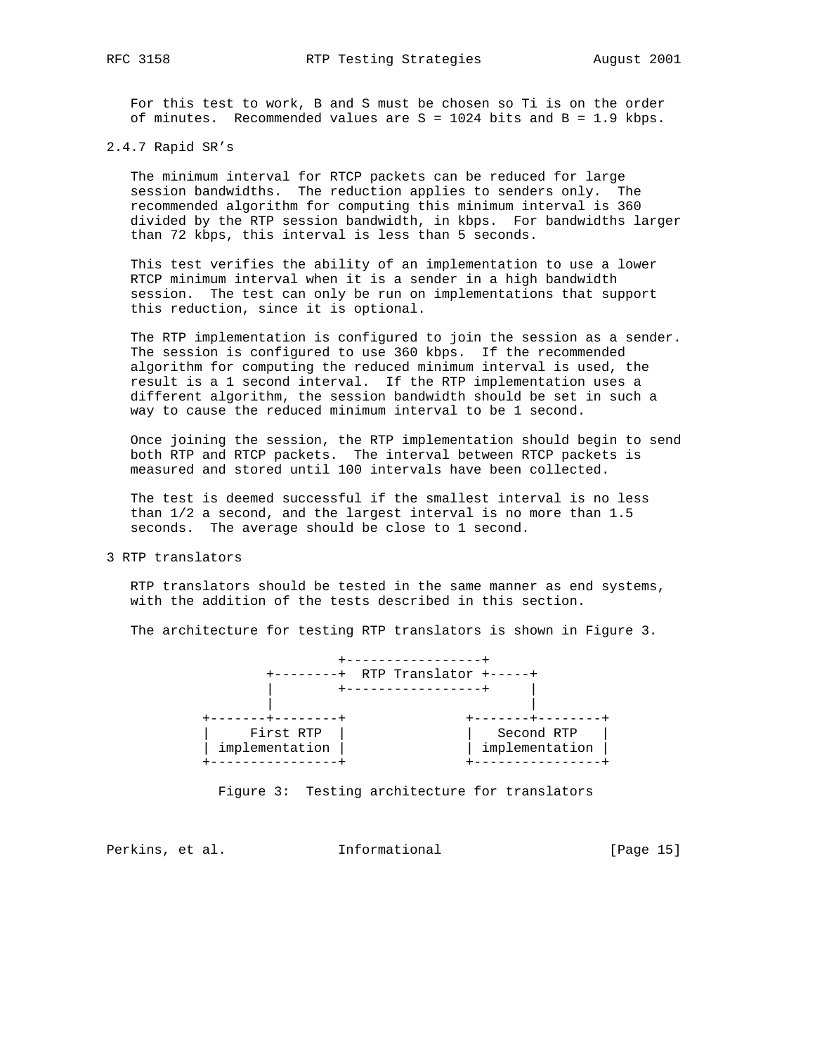For this test to work, B and S must be chosen so Ti is on the order of minutes. Recommended values are  $S = 1024$  bits and  $B = 1.9$  kbps.

### 2.4.7 Rapid SR's

 The minimum interval for RTCP packets can be reduced for large session bandwidths. The reduction applies to senders only. The recommended algorithm for computing this minimum interval is 360 divided by the RTP session bandwidth, in kbps. For bandwidths larger than 72 kbps, this interval is less than 5 seconds.

 This test verifies the ability of an implementation to use a lower RTCP minimum interval when it is a sender in a high bandwidth session. The test can only be run on implementations that support this reduction, since it is optional.

 The RTP implementation is configured to join the session as a sender. The session is configured to use 360 kbps. If the recommended algorithm for computing the reduced minimum interval is used, the result is a 1 second interval. If the RTP implementation uses a different algorithm, the session bandwidth should be set in such a way to cause the reduced minimum interval to be 1 second.

 Once joining the session, the RTP implementation should begin to send both RTP and RTCP packets. The interval between RTCP packets is measured and stored until 100 intervals have been collected.

 The test is deemed successful if the smallest interval is no less than 1/2 a second, and the largest interval is no more than 1.5 seconds. The average should be close to 1 second.

3 RTP translators

 RTP translators should be tested in the same manner as end systems, with the addition of the tests described in this section.

The architecture for testing RTP translators is shown in Figure 3.



Figure 3: Testing architecture for translators

Perkins, et al. 1nformational 1999 [Page 15]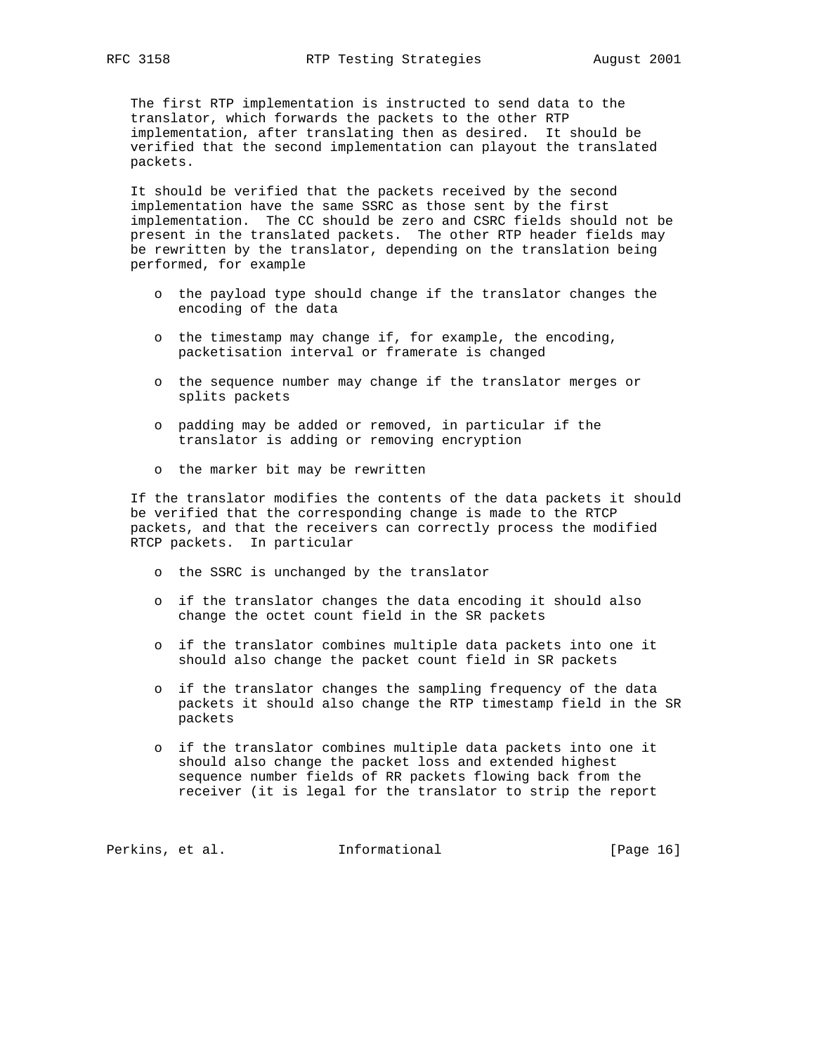The first RTP implementation is instructed to send data to the translator, which forwards the packets to the other RTP implementation, after translating then as desired. It should be verified that the second implementation can playout the translated packets.

 It should be verified that the packets received by the second implementation have the same SSRC as those sent by the first implementation. The CC should be zero and CSRC fields should not be present in the translated packets. The other RTP header fields may be rewritten by the translator, depending on the translation being performed, for example

- o the payload type should change if the translator changes the encoding of the data
- o the timestamp may change if, for example, the encoding, packetisation interval or framerate is changed
- o the sequence number may change if the translator merges or splits packets
- o padding may be added or removed, in particular if the translator is adding or removing encryption
- o the marker bit may be rewritten

 If the translator modifies the contents of the data packets it should be verified that the corresponding change is made to the RTCP packets, and that the receivers can correctly process the modified RTCP packets. In particular

- o the SSRC is unchanged by the translator
- o if the translator changes the data encoding it should also change the octet count field in the SR packets
- o if the translator combines multiple data packets into one it should also change the packet count field in SR packets
- o if the translator changes the sampling frequency of the data packets it should also change the RTP timestamp field in the SR packets
- o if the translator combines multiple data packets into one it should also change the packet loss and extended highest sequence number fields of RR packets flowing back from the receiver (it is legal for the translator to strip the report

Perkins, et al. 1nformational 1999 [Page 16]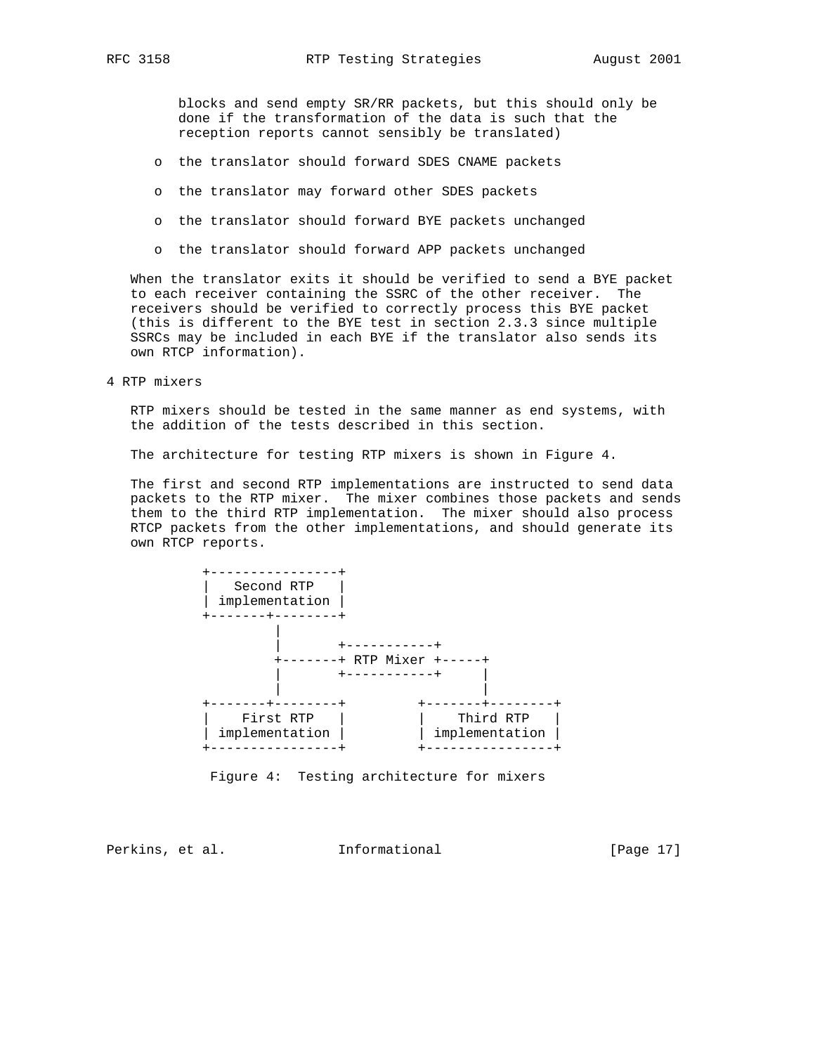blocks and send empty SR/RR packets, but this should only be done if the transformation of the data is such that the reception reports cannot sensibly be translated)

- o the translator should forward SDES CNAME packets
- o the translator may forward other SDES packets
- o the translator should forward BYE packets unchanged
- o the translator should forward APP packets unchanged

 When the translator exits it should be verified to send a BYE packet to each receiver containing the SSRC of the other receiver. The receivers should be verified to correctly process this BYE packet (this is different to the BYE test in section 2.3.3 since multiple SSRCs may be included in each BYE if the translator also sends its own RTCP information).

4 RTP mixers

 RTP mixers should be tested in the same manner as end systems, with the addition of the tests described in this section.

The architecture for testing RTP mixers is shown in Figure 4.

 The first and second RTP implementations are instructed to send data packets to the RTP mixer. The mixer combines those packets and sends them to the third RTP implementation. The mixer should also process RTCP packets from the other implementations, and should generate its own RTCP reports.



Figure 4: Testing architecture for mixers

Perkins, et al. **Informational** [Page 17]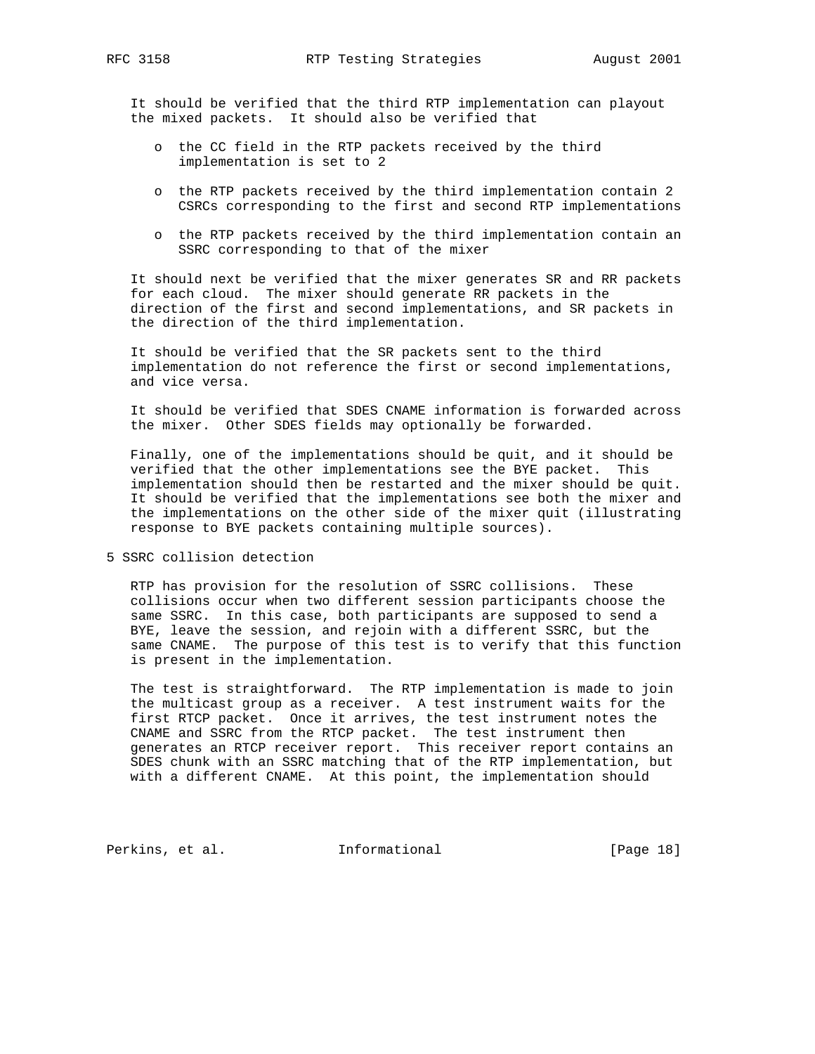It should be verified that the third RTP implementation can playout the mixed packets. It should also be verified that

- o the CC field in the RTP packets received by the third implementation is set to 2
- o the RTP packets received by the third implementation contain 2 CSRCs corresponding to the first and second RTP implementations
- o the RTP packets received by the third implementation contain an SSRC corresponding to that of the mixer

 It should next be verified that the mixer generates SR and RR packets for each cloud. The mixer should generate RR packets in the direction of the first and second implementations, and SR packets in the direction of the third implementation.

 It should be verified that the SR packets sent to the third implementation do not reference the first or second implementations, and vice versa.

 It should be verified that SDES CNAME information is forwarded across the mixer. Other SDES fields may optionally be forwarded.

 Finally, one of the implementations should be quit, and it should be verified that the other implementations see the BYE packet. This implementation should then be restarted and the mixer should be quit. It should be verified that the implementations see both the mixer and the implementations on the other side of the mixer quit (illustrating response to BYE packets containing multiple sources).

5 SSRC collision detection

 RTP has provision for the resolution of SSRC collisions. These collisions occur when two different session participants choose the same SSRC. In this case, both participants are supposed to send a BYE, leave the session, and rejoin with a different SSRC, but the same CNAME. The purpose of this test is to verify that this function is present in the implementation.

 The test is straightforward. The RTP implementation is made to join the multicast group as a receiver. A test instrument waits for the first RTCP packet. Once it arrives, the test instrument notes the CNAME and SSRC from the RTCP packet. The test instrument then generates an RTCP receiver report. This receiver report contains an SDES chunk with an SSRC matching that of the RTP implementation, but with a different CNAME. At this point, the implementation should

Perkins, et al. 1nformational [Page 18]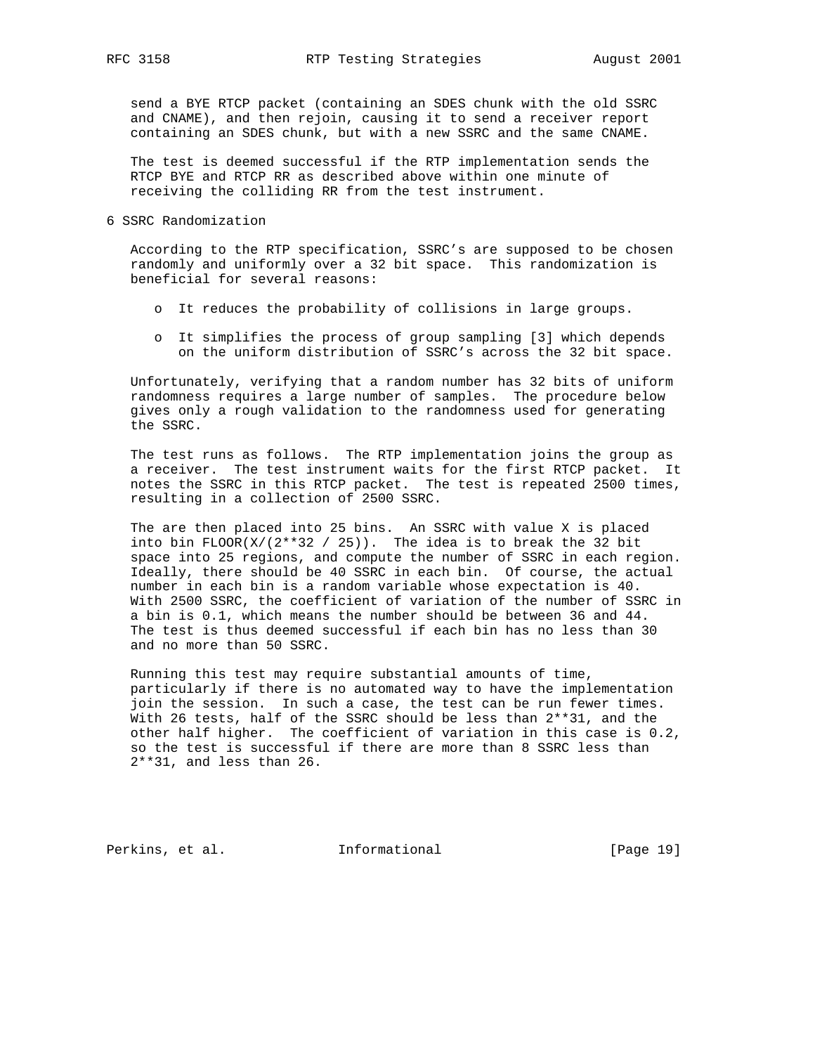send a BYE RTCP packet (containing an SDES chunk with the old SSRC and CNAME), and then rejoin, causing it to send a receiver report containing an SDES chunk, but with a new SSRC and the same CNAME.

 The test is deemed successful if the RTP implementation sends the RTCP BYE and RTCP RR as described above within one minute of receiving the colliding RR from the test instrument.

6 SSRC Randomization

 According to the RTP specification, SSRC's are supposed to be chosen randomly and uniformly over a 32 bit space. This randomization is beneficial for several reasons:

- o It reduces the probability of collisions in large groups.
- o It simplifies the process of group sampling [3] which depends on the uniform distribution of SSRC's across the 32 bit space.

 Unfortunately, verifying that a random number has 32 bits of uniform randomness requires a large number of samples. The procedure below gives only a rough validation to the randomness used for generating the SSRC.

 The test runs as follows. The RTP implementation joins the group as a receiver. The test instrument waits for the first RTCP packet. It notes the SSRC in this RTCP packet. The test is repeated 2500 times, resulting in a collection of 2500 SSRC.

 The are then placed into 25 bins. An SSRC with value X is placed into bin FLOOR( $X/(2**32 / 25)$ ). The idea is to break the 32 bit space into 25 regions, and compute the number of SSRC in each region. Ideally, there should be 40 SSRC in each bin. Of course, the actual number in each bin is a random variable whose expectation is 40. With 2500 SSRC, the coefficient of variation of the number of SSRC in a bin is 0.1, which means the number should be between 36 and 44. The test is thus deemed successful if each bin has no less than 30 and no more than 50 SSRC.

 Running this test may require substantial amounts of time, particularly if there is no automated way to have the implementation join the session. In such a case, the test can be run fewer times. With 26 tests, half of the SSRC should be less than 2\*\*31, and the other half higher. The coefficient of variation in this case is 0.2, so the test is successful if there are more than 8 SSRC less than 2\*\*31, and less than 26.

Perkins, et al. **Informational** [Page 19]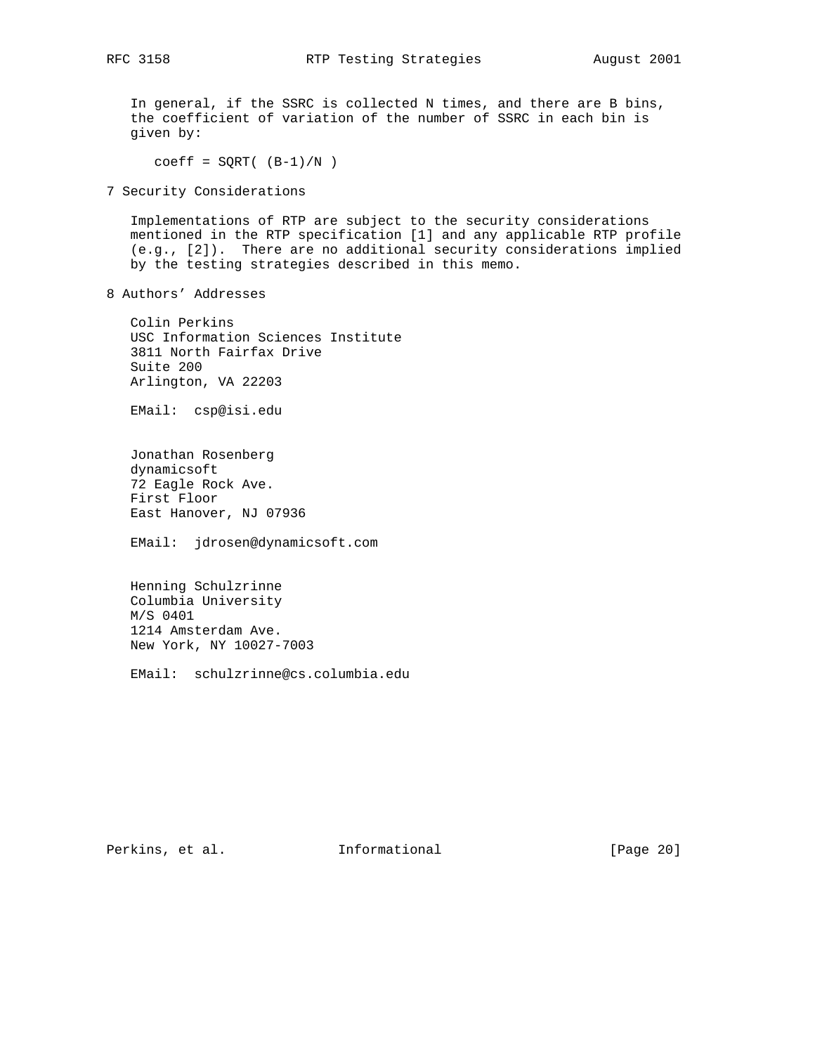In general, if the SSRC is collected N times, and there are B bins, the coefficient of variation of the number of SSRC in each bin is given by:

 $coeff = SQRT( (B-1)/N )$ 

7 Security Considerations

 Implementations of RTP are subject to the security considerations mentioned in the RTP specification [1] and any applicable RTP profile (e.g., [2]). There are no additional security considerations implied by the testing strategies described in this memo.

8 Authors' Addresses

 Colin Perkins USC Information Sciences Institute 3811 North Fairfax Drive Suite 200 Arlington, VA 22203

EMail: csp@isi.edu

 Jonathan Rosenberg dynamicsoft 72 Eagle Rock Ave. First Floor East Hanover, NJ 07936

EMail: jdrosen@dynamicsoft.com

 Henning Schulzrinne Columbia University M/S 0401 1214 Amsterdam Ave. New York, NY 10027-7003

EMail: schulzrinne@cs.columbia.edu

Perkins, et al. 1nformational [Page 20]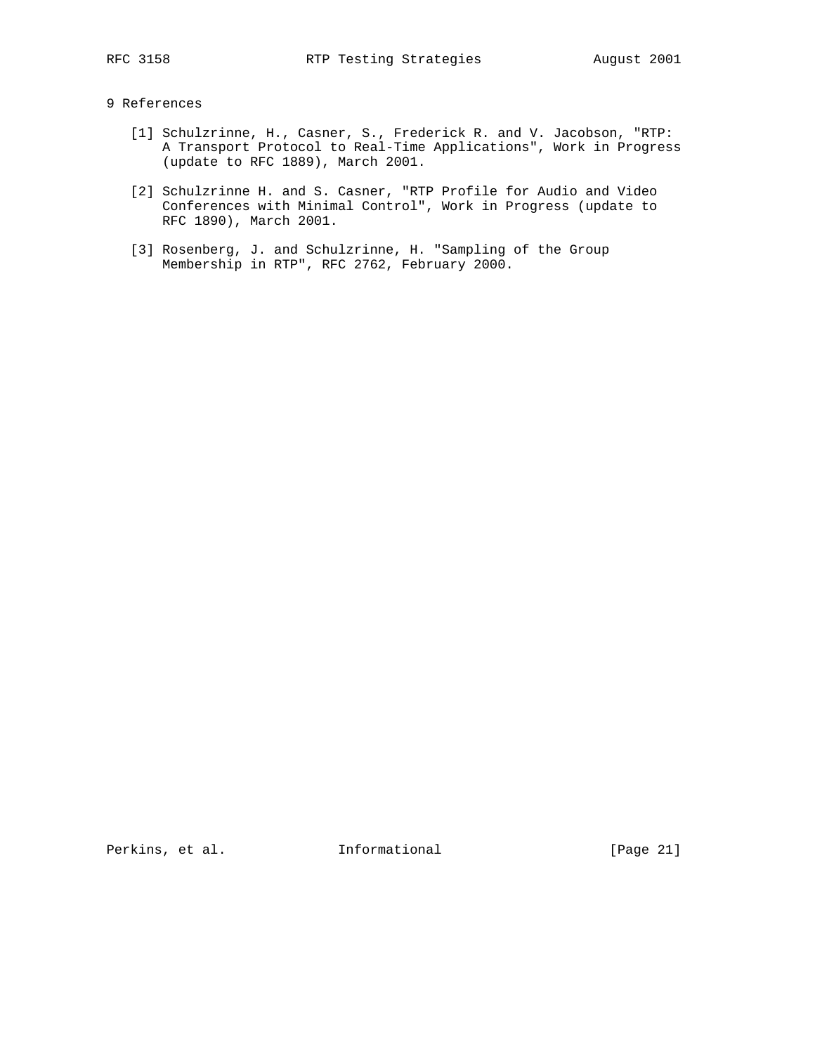## 9 References

- [1] Schulzrinne, H., Casner, S., Frederick R. and V. Jacobson, "RTP: A Transport Protocol to Real-Time Applications", Work in Progress (update to RFC 1889), March 2001.
- [2] Schulzrinne H. and S. Casner, "RTP Profile for Audio and Video Conferences with Minimal Control", Work in Progress (update to RFC 1890), March 2001.
- [3] Rosenberg, J. and Schulzrinne, H. "Sampling of the Group Membership in RTP", RFC 2762, February 2000.

Perkins, et al. 1nformational [Page 21]